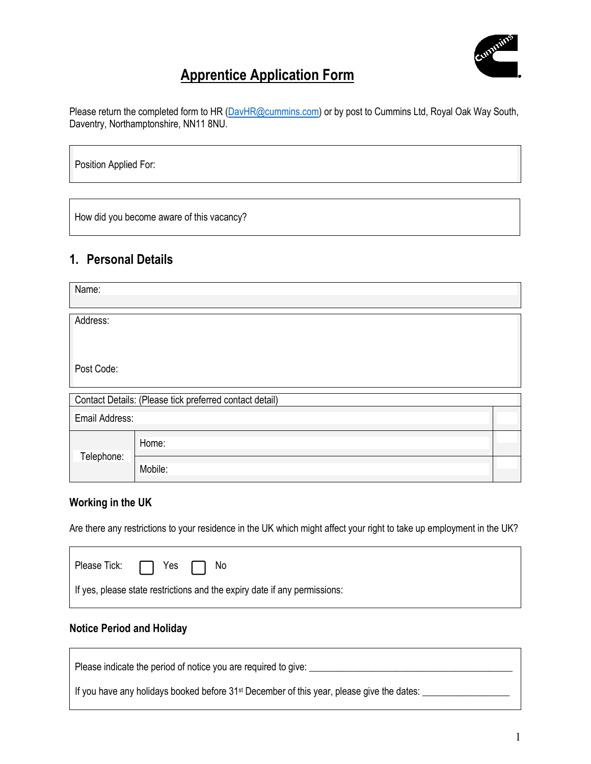

# **Apprentice Application Form**

Please return the completed form to HR [\(DavHR@cummins.com\)](mailto:DavHR@cummins.com) or by post to Cummins Ltd, Royal Oak Way South, Daventry, Northamptonshire, NN11 8NU.

Position Applied For:

How did you become aware of this vacancy?

#### **1. Personal Details**

| Name:          |                                                         |  |  |  |  |
|----------------|---------------------------------------------------------|--|--|--|--|
| Address:       |                                                         |  |  |  |  |
|                |                                                         |  |  |  |  |
| Post Code:     |                                                         |  |  |  |  |
|                | Contact Details: (Please tick preferred contact detail) |  |  |  |  |
| Email Address: |                                                         |  |  |  |  |
|                | Home:                                                   |  |  |  |  |
| Telephone:     | Mobile:                                                 |  |  |  |  |

#### **Working in the UK**

Are there any restrictions to your residence in the UK which might affect your right to take up employment in the UK?

| Please Tick: □ Yes □ No |                                                                           |
|-------------------------|---------------------------------------------------------------------------|
|                         | If yes, please state restrictions and the expiry date if any permissions: |

#### **Notice Period and Holiday**

| Please indicate the period of notice you are required to give:                                        |
|-------------------------------------------------------------------------------------------------------|
| If you have any holidays booked before 31 <sup>st</sup> December of this year, please give the dates: |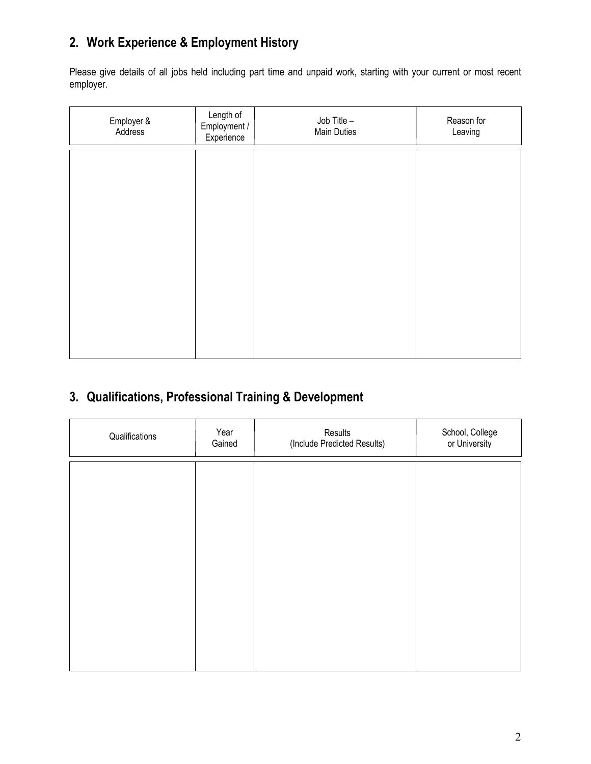# **2. Work Experience & Employment History**

Please give details of all jobs held including part time and unpaid work, starting with your current or most recent employer.

| Employer &<br>Address | Length of<br>Employment /<br>Experience | Job Title -<br>Main Duties | Reason for<br>Leaving |
|-----------------------|-----------------------------------------|----------------------------|-----------------------|
|                       |                                         |                            |                       |
|                       |                                         |                            |                       |
|                       |                                         |                            |                       |
|                       |                                         |                            |                       |
|                       |                                         |                            |                       |
|                       |                                         |                            |                       |

## **3. Qualifications, Professional Training & Development**

| Qualifications | Year<br>Gained | Results<br>(Include Predicted Results) | School, College<br>or University |
|----------------|----------------|----------------------------------------|----------------------------------|
|                |                |                                        |                                  |
|                |                |                                        |                                  |
|                |                |                                        |                                  |
|                |                |                                        |                                  |
|                |                |                                        |                                  |
|                |                |                                        |                                  |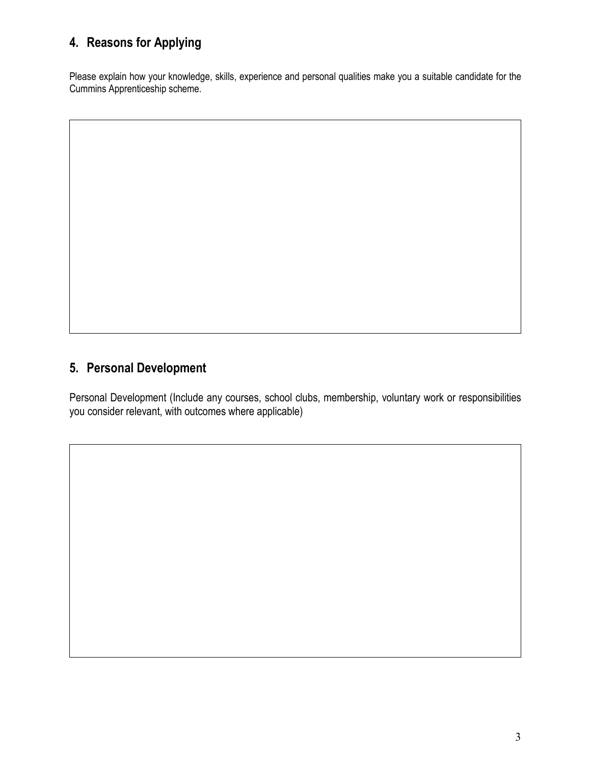### **4. Reasons for Applying**

Please explain how your knowledge, skills, experience and personal qualities make you a suitable candidate for the Cummins Apprenticeship scheme.

### **5. Personal Development**

Personal Development (Include any courses, school clubs, membership, voluntary work or responsibilities you consider relevant, with outcomes where applicable)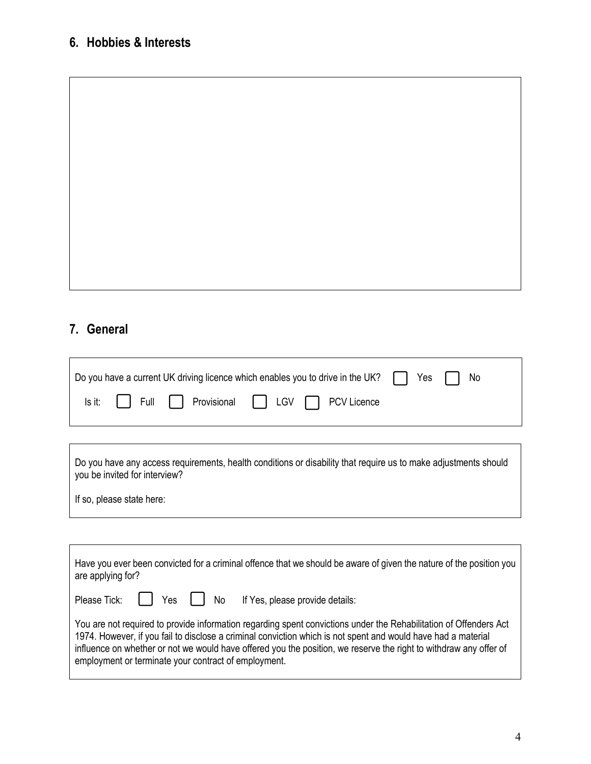## **6. Hobbies & Interests**

#### **7. General**

 $\mathsf{r}$ 

 $\Box$ 

|  | $\Box$ Do you have a current UK driving licence which enables you to drive in the UK? $\Box$ Yes $\Box$ No |  |  |
|--|------------------------------------------------------------------------------------------------------------|--|--|
|  | Is it:   Full   Provisional   LGV   PCV Licence                                                            |  |  |

| Do you have any access requirements, health conditions or disability that require us to make adjustments should |  |
|-----------------------------------------------------------------------------------------------------------------|--|
| you be invited for interview?                                                                                   |  |

If so, please state here:

| Have you ever been convicted for a criminal offence that we should be aware of given the nature of the position you<br>are applying for?                                                                                                                                                                                                                                                                        |  |  |  |  |
|-----------------------------------------------------------------------------------------------------------------------------------------------------------------------------------------------------------------------------------------------------------------------------------------------------------------------------------------------------------------------------------------------------------------|--|--|--|--|
| Please Tick:     Yes     No<br>If Yes, please provide details:                                                                                                                                                                                                                                                                                                                                                  |  |  |  |  |
| You are not required to provide information regarding spent convictions under the Rehabilitation of Offenders Act<br>1974. However, if you fail to disclose a criminal conviction which is not spent and would have had a material<br>influence on whether or not we would have offered you the position, we reserve the right to withdraw any offer of<br>employment or terminate your contract of employment. |  |  |  |  |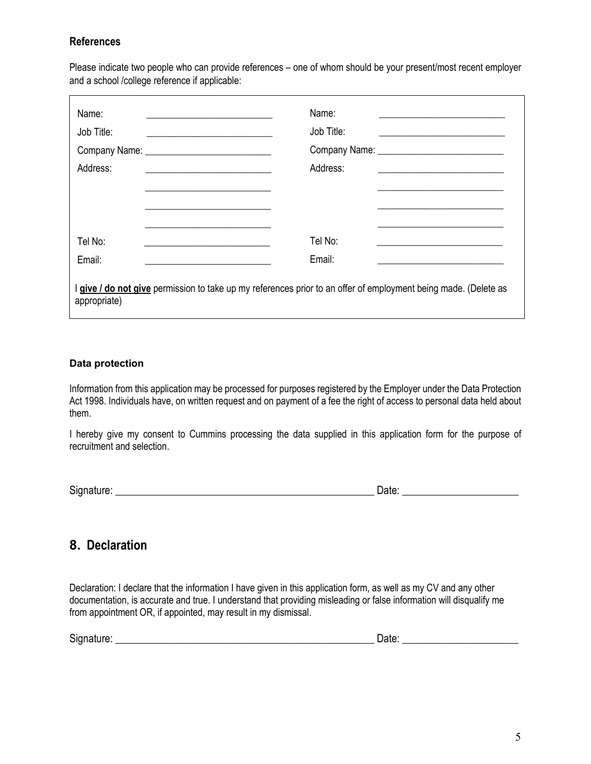#### **References**

Please indicate two people who can provide references – one of whom should be your present/most recent employer and a school /college reference if applicable:

| Name:<br>Job Title:<br>Address: | Name:<br>Job Title:<br><u> 1980 - Andrea Andrew Maria (h. 1980).</u><br>Address:                              |  |
|---------------------------------|---------------------------------------------------------------------------------------------------------------|--|
| Tel No:<br>Email:               | Tel No:<br>Email:                                                                                             |  |
| appropriate)                    | give / do not give permission to take up my references prior to an offer of employment being made. (Delete as |  |

#### **Data protection**

Information from this application may be processed for purposes registered by the Employer under the Data Protection Act 1998. Individuals have, on written request and on payment of a fee the right of access to personal data held about them.

I hereby give my consent to Cummins processing the data supplied in this application form for the purpose of recruitment and selection.

| $\sim$<br>וכ |  |
|--------------|--|
|              |  |

#### **8. Declaration**

Declaration: I declare that the information I have given in this application form, as well as my CV and any other documentation, is accurate and true. I understand that providing misleading or false information will disqualify me from appointment OR, if appointed, may result in my dismissal.

| $\sim$ | $-$   |
|--------|-------|
| .      | JAIP. |
| ЭĽ     |       |
|        |       |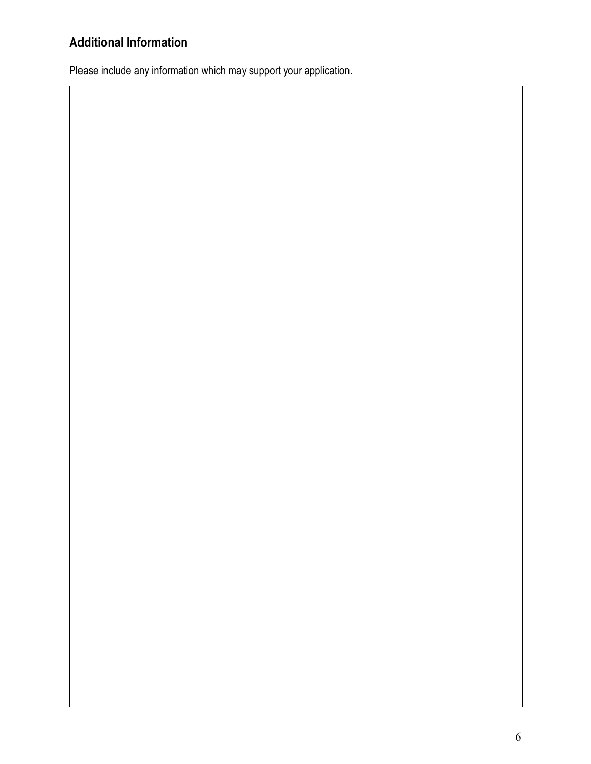# **Additional Information**

Please include any information which may support your application.